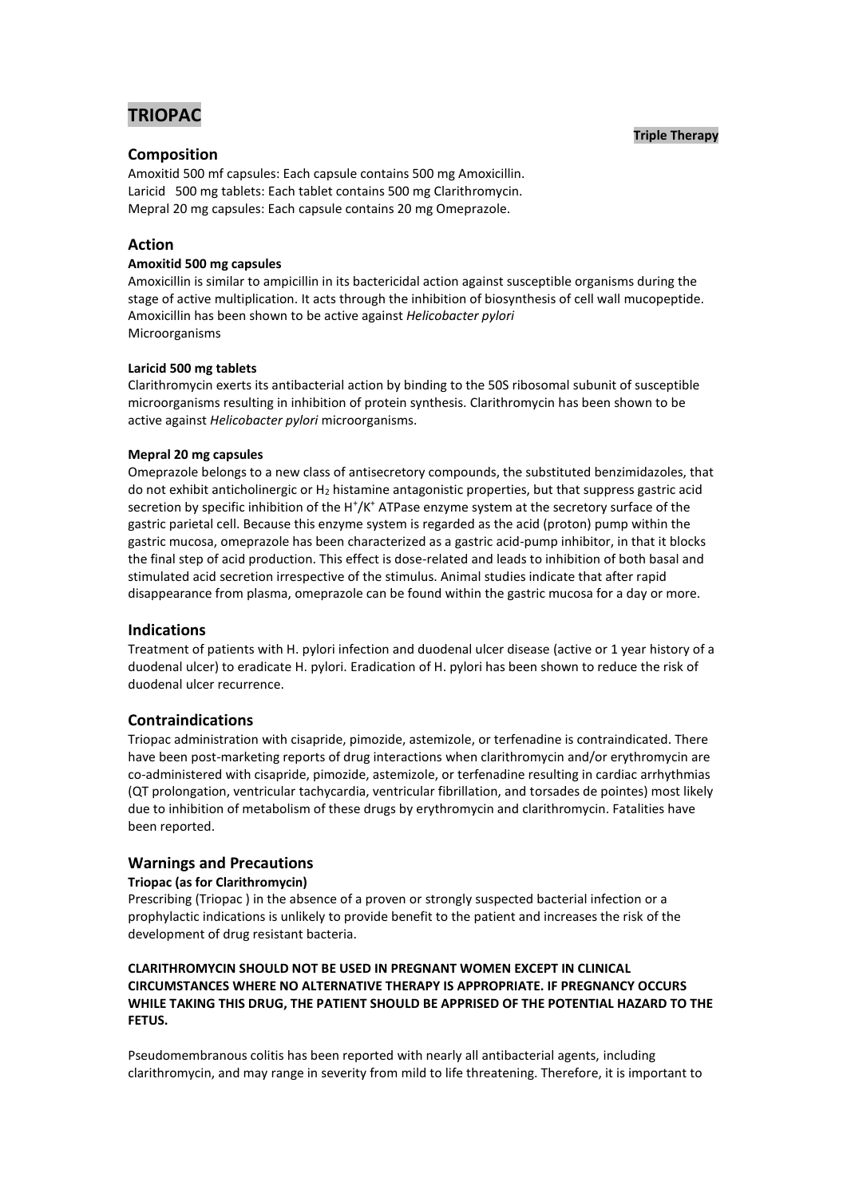# **TRIOPAC**

## **Triple Therapy**

# **Composition**

Amoxitid 500 mf capsules: Each capsule contains 500 mg Amoxicillin. Laricid 500 mg tablets: Each tablet contains 500 mg Clarithromycin. Mepral 20 mg capsules: Each capsule contains 20 mg Omeprazole.

# **Action**

## **Amoxitid 500 mg capsules**

Amoxicillin is similar to ampicillin in its bactericidal action against susceptible organisms during the stage of active multiplication. It acts through the inhibition of biosynthesis of cell wall mucopeptide. Amoxicillin has been shown to be active against *Helicobacter pylori* Microorganisms

## **Laricid 500 mg tablets**

Clarithromycin exerts its antibacterial action by binding to the 50S ribosomal subunit of susceptible microorganisms resulting in inhibition of protein synthesis. Clarithromycin has been shown to be active against *Helicobacter pylori* microorganisms.

## **Mepral 20 mg capsules**

Omeprazole belongs to a new class of antisecretory compounds, the substituted benzimidazoles, that do not exhibit anticholinergic or H<sup>2</sup> histamine antagonistic properties, but that suppress gastric acid secretion by specific inhibition of the H<sup>+</sup>/K<sup>+</sup> ATPase enzyme system at the secretory surface of the gastric parietal cell. Because this enzyme system is regarded as the acid (proton) pump within the gastric mucosa, omeprazole has been characterized as a gastric acid-pump inhibitor, in that it blocks the final step of acid production. This effect is dose-related and leads to inhibition of both basal and stimulated acid secretion irrespective of the stimulus. Animal studies indicate that after rapid disappearance from plasma, omeprazole can be found within the gastric mucosa for a day or more.

# **Indications**

Treatment of patients with H. pylori infection and duodenal ulcer disease (active or 1 year history of a duodenal ulcer) to eradicate H. pylori. Eradication of H. pylori has been shown to reduce the risk of duodenal ulcer recurrence.

# **Contraindications**

Triopac administration with cisapride, pimozide, astemizole, or terfenadine is contraindicated. There have been post-marketing reports of drug interactions when clarithromycin and/or erythromycin are co-administered with cisapride, pimozide, astemizole, or terfenadine resulting in cardiac arrhythmias (QT prolongation, ventricular tachycardia, ventricular fibrillation, and torsades de pointes) most likely due to inhibition of metabolism of these drugs by erythromycin and clarithromycin. Fatalities have been reported.

# **Warnings and Precautions**

#### **Triopac (as for Clarithromycin)**

Prescribing (Triopac ) in the absence of a proven or strongly suspected bacterial infection or a prophylactic indications is unlikely to provide benefit to the patient and increases the risk of the development of drug resistant bacteria.

# **CLARITHROMYCIN SHOULD NOT BE USED IN PREGNANT WOMEN EXCEPT IN CLINICAL CIRCUMSTANCES WHERE NO ALTERNATIVE THERAPY IS APPROPRIATE. IF PREGNANCY OCCURS WHILE TAKING THIS DRUG, THE PATIENT SHOULD BE APPRISED OF THE POTENTIAL HAZARD TO THE FETUS.**

Pseudomembranous colitis has been reported with nearly all antibacterial agents, including clarithromycin, and may range in severity from mild to life threatening. Therefore, it is important to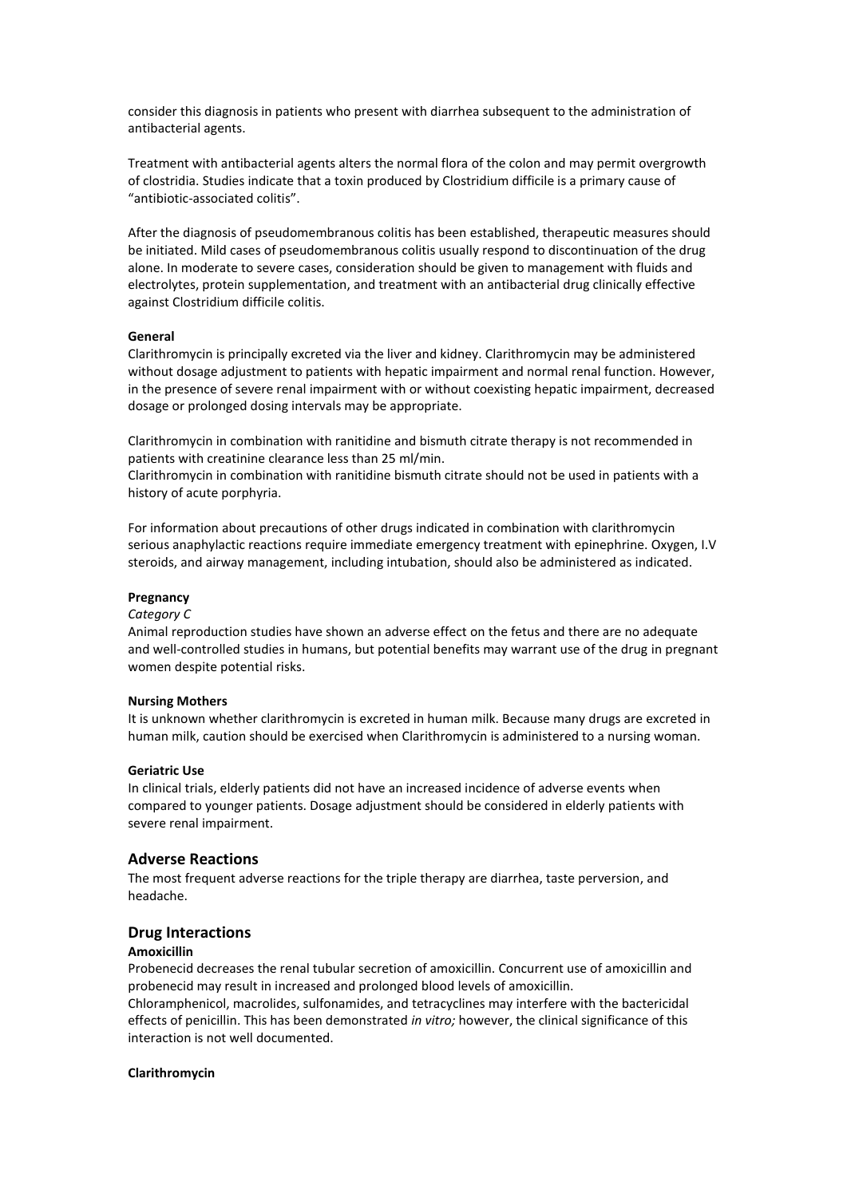consider this diagnosis in patients who present with diarrhea subsequent to the administration of antibacterial agents.

Treatment with antibacterial agents alters the normal flora of the colon and may permit overgrowth of clostridia. Studies indicate that a toxin produced by Clostridium difficile is a primary cause of "antibiotic-associated colitis".

After the diagnosis of pseudomembranous colitis has been established, therapeutic measures should be initiated. Mild cases of pseudomembranous colitis usually respond to discontinuation of the drug alone. In moderate to severe cases, consideration should be given to management with fluids and electrolytes, protein supplementation, and treatment with an antibacterial drug clinically effective against Clostridium difficile colitis.

## **General**

Clarithromycin is principally excreted via the liver and kidney. Clarithromycin may be administered without dosage adjustment to patients with hepatic impairment and normal renal function. However, in the presence of severe renal impairment with or without coexisting hepatic impairment, decreased dosage or prolonged dosing intervals may be appropriate.

Clarithromycin in combination with ranitidine and bismuth citrate therapy is not recommended in patients with creatinine clearance less than 25 ml/min.

Clarithromycin in combination with ranitidine bismuth citrate should not be used in patients with a history of acute porphyria.

For information about precautions of other drugs indicated in combination with clarithromycin serious anaphylactic reactions require immediate emergency treatment with epinephrine. Oxygen, I.V steroids, and airway management, including intubation, should also be administered as indicated.

#### **Pregnancy**

#### *Category C*

Animal reproduction studies have shown an adverse effect on the fetus and there are no adequate and well-controlled studies in humans, but potential benefits may warrant use of the drug in pregnant women despite potential risks.

#### **Nursing Mothers**

It is unknown whether clarithromycin is excreted in human milk. Because many drugs are excreted in human milk, caution should be exercised when Clarithromycin is administered to a nursing woman.

## **Geriatric Use**

In clinical trials, elderly patients did not have an increased incidence of adverse events when compared to younger patients. Dosage adjustment should be considered in elderly patients with severe renal impairment.

# **Adverse Reactions**

The most frequent adverse reactions for the triple therapy are diarrhea, taste perversion, and headache.

## **Drug Interactions**

#### **Amoxicillin**

Probenecid decreases the renal tubular secretion of amoxicillin. Concurrent use of amoxicillin and probenecid may result in increased and prolonged blood levels of amoxicillin.

Chloramphenicol, macrolides, sulfonamides, and tetracyclines may interfere with the bactericidal effects of penicillin. This has been demonstrated *in vitro;* however, the clinical significance of this interaction is not well documented.

#### **Clarithromycin**